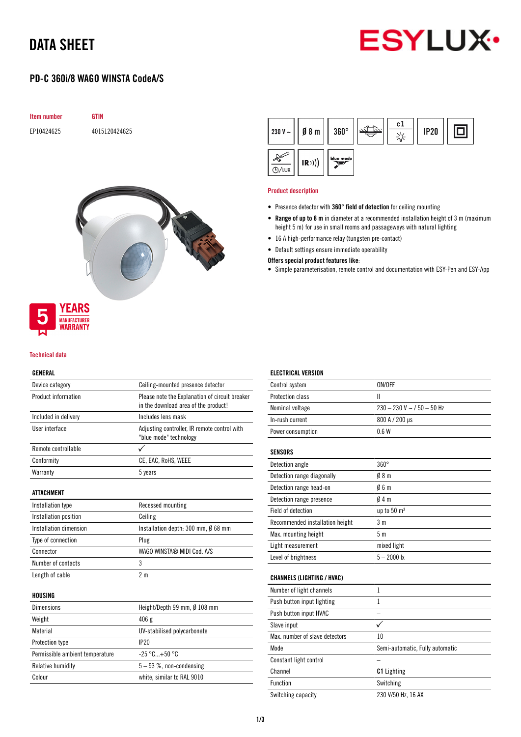## DATA SHEET



### PD-C 360i/8 WAGO WINSTA CodeA/S





#### Product description

- Presence detector with 360° field of detection for ceiling mounting
- Range of up to 8 m in diameter at a recommended installation height of 3 m (maximum height 5 m) for use in small rooms and passageways with natural lighting
- 16 A high-performance relay (tungsten pre-contact)
- Default settings ensure immediate operability

#### Offers special product features like:

• Simple parameterisation, remote control and documentation with ESY-Pen and ESY-App



#### Technical data

#### GENERAL

| Device category                      | Ceiling-mounted presence detector                                                      |  |  |
|--------------------------------------|----------------------------------------------------------------------------------------|--|--|
| Product information                  | Please note the Explanation of circuit breaker<br>in the download area of the product! |  |  |
| Included in delivery                 | Includes lens mask                                                                     |  |  |
| User interface                       | Adjusting controller, IR remote control with<br>"blue mode" technology                 |  |  |
| Remote controllable                  |                                                                                        |  |  |
| Conformity                           | CE, EAC, RoHS, WEEE                                                                    |  |  |
| Warranty                             | 5 years                                                                                |  |  |
| ATTACHMENT                           |                                                                                        |  |  |
| Installation type                    | Recessed mounting                                                                      |  |  |
| Installation position                | Ceiling                                                                                |  |  |
| Installation dimension               | Installation depth: 300 mm, Ø 68 mm                                                    |  |  |
| Type of connection                   | Plug                                                                                   |  |  |
| Connector                            | WAGO WINSTA® MIDI Cod. A/S                                                             |  |  |
| Number of contacts                   | 3                                                                                      |  |  |
| Length of cable                      | 2 <sub>m</sub>                                                                         |  |  |
| HOUSING                              |                                                                                        |  |  |
| <b>Dimensions</b>                    | Height/Depth 99 mm, Ø 108 mm                                                           |  |  |
| Weight                               | 406 g                                                                                  |  |  |
| Material                             | UV-stabilised polycarbonate                                                            |  |  |
| Protection type                      | IP20                                                                                   |  |  |
| Permissible ambient temperature      | $-25 °C+50 °C$                                                                         |  |  |
| Relative humidity                    | $5 - 93$ %, non-condensing                                                             |  |  |
| white, similar to RAL 9010<br>Colour |                                                                                        |  |  |

## ELECTRICAL VERSION

| Control system    | ON/OFF                       |
|-------------------|------------------------------|
| Protection class  |                              |
| Nominal voltage   | $230 - 230$ V ~ / 50 - 50 Hz |
| In-rush current   | 800 A / 200 µs               |
| Power consumption | 06W                          |
|                   |                              |

#### **SENSORS**

| Detection angle                 | $360^\circ$            |
|---------------------------------|------------------------|
| Detection range diagonally      | 08 <sub>m</sub>        |
| Detection range head-on         | 06m                    |
| Detection range presence        | 04m                    |
| Field of detection              | up to $50 \text{ m}^2$ |
| Recommended installation height | 3 m                    |
| Max. mounting height            | 5 m                    |
| Light measurement               | mixed light            |
| Level of brightness             | $5 - 2000$ lx          |

#### CHANNELS (LIGHTING / HVAC)

| Number of light channels       |                                 |
|--------------------------------|---------------------------------|
| Push button input lighting     |                                 |
| Push button input HVAC         |                                 |
| Slave input                    |                                 |
| Max. number of slave detectors | 10                              |
| Mode                           | Semi-automatic, Fully automatic |
| Constant light control         |                                 |
| Channel                        | <b>C1</b> Lighting              |
| <b>Function</b>                | Switching                       |
| Switching capacity             | 230 V/50 Hz, 16 AX              |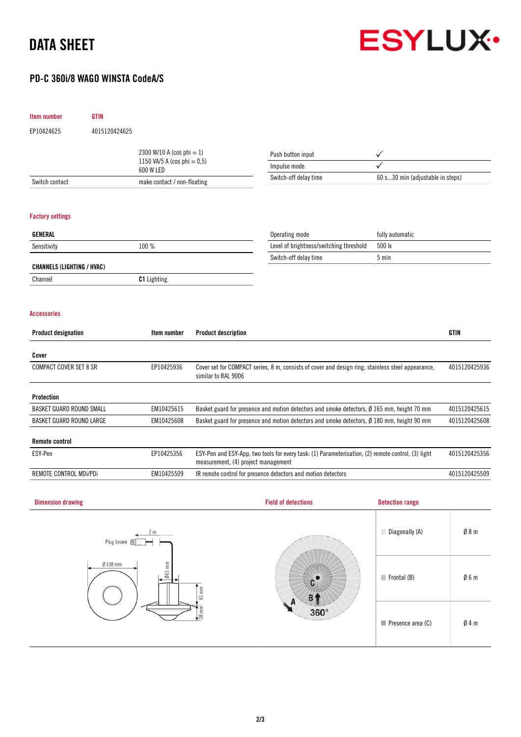# DATA SHEET



**Frontal (B)**  $\emptyset$  6 m

Presence area (C)  $\emptyset$  4 m

### PD-C 360i/8 WAGO WINSTA CodeA/S

| Item number                       | <b>GTIN</b>                              |                                |                                     |                                                                                                      |                                  |                 |
|-----------------------------------|------------------------------------------|--------------------------------|-------------------------------------|------------------------------------------------------------------------------------------------------|----------------------------------|-----------------|
| EP10424625                        | 4015120424625                            |                                |                                     |                                                                                                      |                                  |                 |
|                                   |                                          | 2300 W/10 A (cos phi = 1)      |                                     | Push button input                                                                                    |                                  |                 |
|                                   |                                          | 1150 VA/5 A (cos phi = $0,5$ ) |                                     | Impulse mode                                                                                         |                                  |                 |
| Switch contact                    | 600 W LED<br>make contact / non-floating |                                |                                     | Switch-off delay time                                                                                | 60 s30 min (adjustable in steps) |                 |
|                                   |                                          |                                |                                     |                                                                                                      |                                  |                 |
| <b>Factory settings</b>           |                                          |                                |                                     |                                                                                                      |                                  |                 |
| <b>GENERAL</b>                    |                                          |                                |                                     | Operating mode                                                                                       | fully automatic                  |                 |
| Sensitivity                       |                                          | 100 %                          |                                     | Level of brightness/switching threshold                                                              | 500 lx                           |                 |
|                                   |                                          |                                |                                     | Switch-off delay time                                                                                | $5 \text{ min}$                  |                 |
| <b>CHANNELS (LIGHTING / HVAC)</b> |                                          |                                |                                     |                                                                                                      |                                  |                 |
| Channel                           |                                          | <b>C1</b> Lighting             |                                     |                                                                                                      |                                  |                 |
| <b>Accessories</b>                |                                          |                                |                                     |                                                                                                      |                                  |                 |
| <b>Product designation</b>        |                                          | Item number                    | <b>Product description</b>          |                                                                                                      |                                  | <b>GTIN</b>     |
| Cover                             |                                          |                                |                                     |                                                                                                      |                                  |                 |
| <b>COMPACT COVER SET 8 SR</b>     |                                          | EP10425936                     | similar to RAL 9006                 | Cover set for COMPACT series, 8 m, consists of cover and design ring, stainless steel appearance,    |                                  | 4015120425936   |
| Protection                        |                                          |                                |                                     |                                                                                                      |                                  |                 |
| BASKET GUARD ROUND SMALL          |                                          | EM10425615                     |                                     | Basket guard for presence and motion detectors and smoke detectors, $\emptyset$ 165 mm, height 70 mm |                                  | 4015120425615   |
| BASKET GUARD ROUND LARGE          |                                          | EM10425608                     |                                     | Basket guard for presence and motion detectors and smoke detectors, Ø 180 mm, height 90 mm           |                                  | 4015120425608   |
| <b>Remote control</b>             |                                          |                                |                                     |                                                                                                      |                                  |                 |
| ESY-Pen                           |                                          | EP10425356                     | measurement, (4) project management | ESY-Pen and ESY-App, two tools for every task: (1) Parameterisation, (2) remote control, (3) light   |                                  | 4015120425356   |
| REMOTE CONTROL MDi/PDi            |                                          | EM10425509                     |                                     | IR remote control for presence detectors and motion detectors                                        |                                  | 4015120425509   |
| <b>Dimension drawing</b>          |                                          |                                |                                     | <b>Field of detections</b>                                                                           | <b>Detection range</b>           |                 |
|                                   |                                          |                                |                                     |                                                                                                      |                                  |                 |
|                                   | Plug brown 回                             |                                |                                     |                                                                                                      | Diagonally (A)                   | 08 <sub>m</sub> |
|                                   | $Ø108$ mm                                | E                              |                                     | <b>ANTIFACT</b>                                                                                      |                                  |                 |

 $c$ 

 $B<sub>1</sub>$  $360^\circ$ 

 $063$ 

 $61$  mm